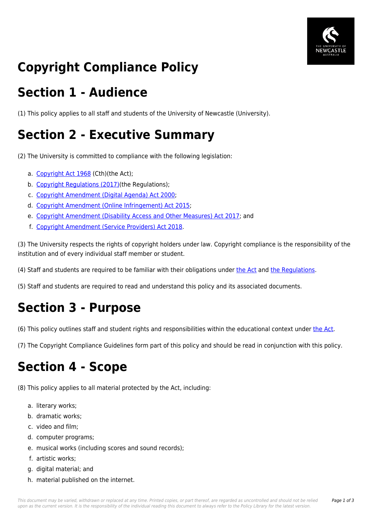

# **Copyright Compliance Policy**

### **Section 1 - Audience**

(1) This policy applies to all staff and students of the University of Newcastle (University).

### **Section 2 - Executive Summary**

(2) The University is committed to compliance with the following legislation:

- a. [Copyright Act 1968](https://policies.newcastle.edu.au/directory-summary.php?legislation=5) (Cth)(the Act);
- b. [Copyright Regulations \(2017\)](https://policies.newcastle.edu.au/directory-summary.php?legislation=100)(the Regulations);
- c. [Copyright Amendment \(Digital Agenda\) Act 2000](https://policies.newcastle.edu.au/directory-summary.php?legislation=54);
- d. [Copyright Amendment \(Online Infringement\) Act 2015;](https://policies.newcastle.edu.au/directory-summary.php?legislation=105)
- e. [Copyright Amendment \(Disability Access and Other Measures\) Act 2017](https://policies.newcastle.edu.au/directory-summary.php?legislation=103); and
- f. [Copyright Amendment \(Service Providers\) Act 2018.](https://policies.newcastle.edu.au/directory-summary.php?legislation=104)

(3) The University respects the rights of copyright holders under law. Copyright compliance is the responsibility of the institution and of every individual staff member or student.

(4) Staff and students are required to be familiar with their obligations under [the Act](https://policies.newcastle.edu.au/directory-summary.php?legislation=5) and [the Regulations](https://policies.newcastle.edu.au/directory-summary.php?legislation=100).

(5) Staff and students are required to read and understand this policy and its associated documents.

## **Section 3 - Purpose**

(6) This policy outlines staff and student rights and responsibilities within the educational context under [the Act.](https://policies.newcastle.edu.au/directory-summary.php?legislation=5)

(7) The Copyright Compliance Guidelines form part of this policy and should be read in conjunction with this policy.

### **Section 4 - Scope**

(8) This policy applies to all material protected by the Act, including:

- a. literary works;
- b. dramatic works;
- c. video and film;
- d. computer programs;
- e. musical works (including scores and sound records);
- f. artistic works;
- g. digital material; and
- h. material published on the internet.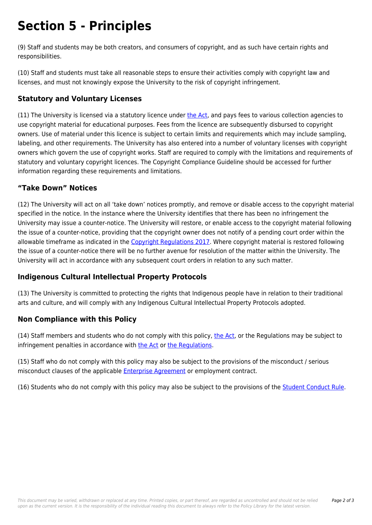### **Section 5 - Principles**

(9) Staff and students may be both creators, and consumers of copyright, and as such have certain rights and responsibilities.

(10) Staff and students must take all reasonable steps to ensure their activities comply with copyright law and licenses, and must not knowingly expose the University to the risk of copyright infringement.

#### **Statutory and Voluntary Licenses**

(11) The University is licensed via a statutory licence under [the Act,](https://policies.newcastle.edu.au/directory-summary.php?legislation=5) and pays fees to various collection agencies to use copyright material for educational purposes. Fees from the licence are subsequently disbursed to copyright owners. Use of material under this licence is subject to certain limits and requirements which may include sampling, labeling, and other requirements. The University has also entered into a number of voluntary licenses with copyright owners which govern the use of copyright works. Staff are required to comply with the limitations and requirements of statutory and voluntary copyright licences. The Copyright Compliance Guideline should be accessed for further information regarding these requirements and limitations.

#### **"Take Down" Notices**

(12) The University will act on all 'take down' notices promptly, and remove or disable access to the copyright material specified in the notice. In the instance where the University identifies that there has been no infringement the University may issue a counter-notice. The University will restore, or enable access to the copyright material following the issue of a counter-notice, providing that the copyright owner does not notify of a pending court order within the allowable timeframe as indicated in the [Copyright Regulations 2017.](https://policies.newcastle.edu.au/directory-summary.php?legislation=100) Where copyright material is restored following the issue of a counter-notice there will be no further avenue for resolution of the matter within the University. The University will act in accordance with any subsequent court orders in relation to any such matter.

#### **Indigenous Cultural Intellectual Property Protocols**

(13) The University is committed to protecting the rights that Indigenous people have in relation to their traditional arts and culture, and will comply with any Indigenous Cultural Intellectual Property Protocols adopted.

#### **Non Compliance with this Policy**

(14) Staff members and students who do not comply with this policy, [the Act](https://policies.newcastle.edu.au/directory-summary.php?legislation=5), or the Regulations may be subject to infringement penalties in accordance with [the Act](https://policies.newcastle.edu.au/directory-summary.php?legislation=5) or [the Regulations](https://policies.newcastle.edu.au/directory-summary.php?legislation=100).

(15) Staff who do not comply with this policy may also be subject to the provisions of the misconduct / serious misconduct clauses of the applicable [Enterprise Agreement](https://policies.newcastle.edu.au/download.php?id=32&version=1&associated) or employment contract.

(16) Students who do not comply with this policy may also be subject to the provisions of the [Student Conduct Rule.](https://policies.newcastle.edu.au/document/view-current.php?id=34)